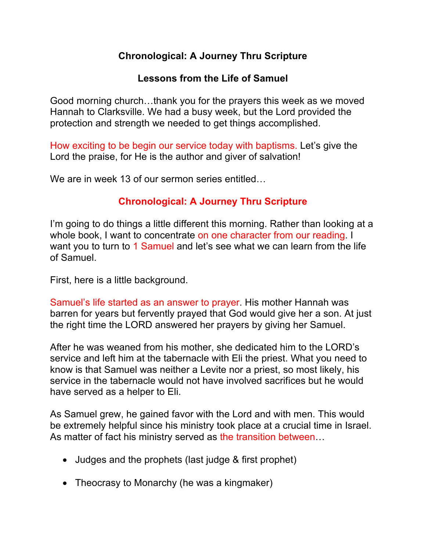# **Chronological: A Journey Thru Scripture**

#### **Lessons from the Life of Samuel**

Good morning church…thank you for the prayers this week as we moved Hannah to Clarksville. We had a busy week, but the Lord provided the protection and strength we needed to get things accomplished.

How exciting to be begin our service today with baptisms. Let's give the Lord the praise, for He is the author and giver of salvation!

We are in week 13 of our sermon series entitled...

## **Chronological: A Journey Thru Scripture**

I'm going to do things a little different this morning. Rather than looking at a whole book, I want to concentrate on one character from our reading. I want you to turn to 1 Samuel and let's see what we can learn from the life of Samuel.

First, here is a little background.

Samuel's life started as an answer to prayer. His mother Hannah was barren for years but fervently prayed that God would give her a son. At just the right time the LORD answered her prayers by giving her Samuel.

After he was weaned from his mother, she dedicated him to the LORD's service and left him at the tabernacle with Eli the priest. What you need to know is that Samuel was neither a Levite nor a priest, so most likely, his service in the tabernacle would not have involved sacrifices but he would have served as a helper to Eli.

As Samuel grew, he gained favor with the Lord and with men. This would be extremely helpful since his ministry took place at a crucial time in Israel. As matter of fact his ministry served as the transition between…

- Judges and the prophets (last judge & first prophet)
- Theocrasy to Monarchy (he was a kingmaker)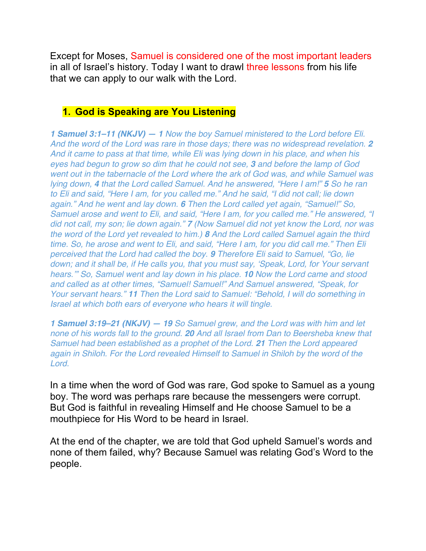Except for Moses, Samuel is considered one of the most important leaders in all of Israel's history. Today I want to drawl three lessons from his life that we can apply to our walk with the Lord.

### **1. God is Speaking are You Listening**

*1 Samuel 3:1–11 (NKJV) — 1 Now the boy Samuel ministered to the Lord before Eli. And the word of the Lord was rare in those days; there was no widespread revelation. 2 And it came to pass at that time, while Eli was lying down in his place, and when his eyes had begun to grow so dim that he could not see, 3 and before the lamp of God went out in the tabernacle of the Lord where the ark of God was, and while Samuel was lying down, 4 that the Lord called Samuel. And he answered, "Here I am!" 5 So he ran to Eli and said, "Here I am, for you called me." And he said, "I did not call; lie down again." And he went and lay down. 6 Then the Lord called yet again, "Samuel!" So, Samuel arose and went to Eli, and said, "Here I am, for you called me." He answered, "I did not call, my son; lie down again." 7 (Now Samuel did not yet know the Lord, nor was the word of the Lord yet revealed to him.) 8 And the Lord called Samuel again the third time. So, he arose and went to Eli, and said, "Here I am, for you did call me." Then Eli perceived that the Lord had called the boy. 9 Therefore Eli said to Samuel, "Go, lie down; and it shall be, if He calls you, that you must say, 'Speak, Lord, for Your servant hears.'" So, Samuel went and lay down in his place. 10 Now the Lord came and stood and called as at other times, "Samuel! Samuel!" And Samuel answered, "Speak, for Your servant hears." 11 Then the Lord said to Samuel: "Behold, I will do something in Israel at which both ears of everyone who hears it will tingle.*

*1 Samuel 3:19–21 (NKJV) — 19 So Samuel grew, and the Lord was with him and let none of his words fall to the ground. 20 And all Israel from Dan to Beersheba knew that Samuel had been established as a prophet of the Lord. 21 Then the Lord appeared again in Shiloh. For the Lord revealed Himself to Samuel in Shiloh by the word of the Lord.*

In a time when the word of God was rare, God spoke to Samuel as a young boy. The word was perhaps rare because the messengers were corrupt. But God is faithful in revealing Himself and He choose Samuel to be a mouthpiece for His Word to be heard in Israel.

At the end of the chapter, we are told that God upheld Samuel's words and none of them failed, why? Because Samuel was relating God's Word to the people.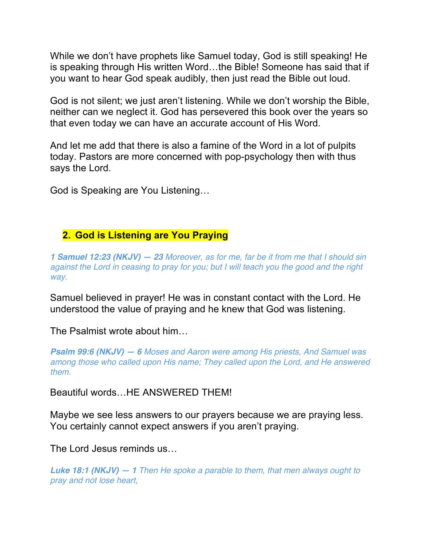While we don't have prophets like Samuel today, God is still speaking! He is speaking through His written Word…the Bible! Someone has said that if you want to hear God speak audibly, then just read the Bible out loud.

God is not silent; we just aren't listening. While we don't worship the Bible, neither can we neglect it. God has persevered this book over the years so that even today we can have an accurate account of His Word.

And let me add that there is also a famine of the Word in a lot of pulpits today. Pastors are more concerned with pop-psychology then with thus says the Lord.

God is Speaking are You Listening…

#### **2. God is Listening are You Praying**

*1 Samuel 12:23 (NKJV) — 23 Moreover, as for me, far be it from me that I should sin against the Lord in ceasing to pray for you; but I will teach you the good and the right way.*

Samuel believed in prayer! He was in constant contact with the Lord. He understood the value of praying and he knew that God was listening.

The Psalmist wrote about him…

*Psalm 99:6 (NKJV) — 6 Moses and Aaron were among His priests, And Samuel was among those who called upon His name; They called upon the Lord, and He answered them.*

Beautiful words…HE ANSWERED THEM!

Maybe we see less answers to our prayers because we are praying less. You certainly cannot expect answers if you aren't praying.

The Lord Jesus reminds us…

*Luke 18:1 (NKJV) — 1 Then He spoke a parable to them, that men always ought to pray and not lose heart,*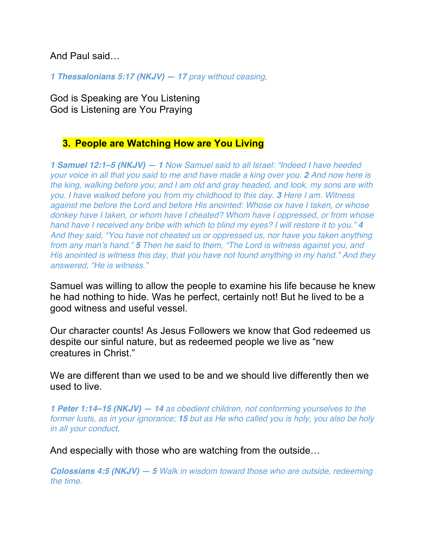And Paul said…

*1 Thessalonians 5:17 (NKJV) — 17 pray without ceasing,*

God is Speaking are You Listening God is Listening are You Praying

#### **3. People are Watching How are You Living**

*1 Samuel 12:1–5 (NKJV) — 1 Now Samuel said to all Israel: "Indeed I have heeded your voice in all that you said to me and have made a king over you. 2 And now here is the king, walking before you; and I am old and gray headed, and look, my sons are with you. I have walked before you from my childhood to this day. 3 Here I am. Witness against me before the Lord and before His anointed: Whose ox have I taken, or whose donkey have I taken, or whom have I cheated? Whom have I oppressed, or from whose hand have I received any bribe with which to blind my eyes? I will restore it to you." 4 And they said, "You have not cheated us or oppressed us, nor have you taken anything from any man's hand." 5 Then he said to them, "The Lord is witness against you, and His anointed is witness this day, that you have not found anything in my hand." And they answered, "He is witness."*

Samuel was willing to allow the people to examine his life because he knew he had nothing to hide. Was he perfect, certainly not! But he lived to be a good witness and useful vessel.

Our character counts! As Jesus Followers we know that God redeemed us despite our sinful nature, but as redeemed people we live as "new creatures in Christ."

We are different than we used to be and we should live differently then we used to live.

*1 Peter 1:14–15 (NKJV) — 14 as obedient children, not conforming yourselves to the former lusts, as in your ignorance; 15 but as He who called you is holy, you also be holy in all your conduct,*

And especially with those who are watching from the outside…

*Colossians 4:5 (NKJV) — 5 Walk in wisdom toward those who are outside, redeeming the time.*